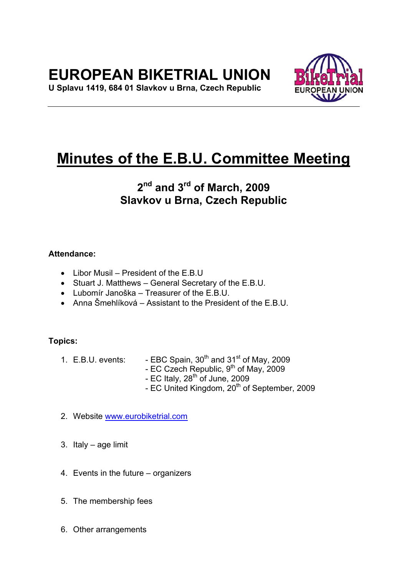# **EUROPEAN BIKETRIAL UNION**

**U Splavu 1419, 684 01 Slavkov u Brna, Czech Republic** 



# **Minutes of the E.B.U. Committee Meeting**

# **2nd and 3rd of March, 2009 Slavkov u Brna, Czech Republic**

# **Attendance:**

- Libor Musil President of the E.B.U
- Stuart J. Matthews General Secretary of the E.B.U.
- Lubomír Janoška Treasurer of the E.B.U.
- Anna Šmehlíková Assistant to the President of the E.B.U.

# **Topics:**

- 1. E.B.U. events:  $-$  EBC Spain,  $30<sup>th</sup>$  and  $31<sup>st</sup>$  of May, 2009
	- EC Czech Republic,  $9^{th}$  of May, 2009
	- EC Italy,  $28<sup>th</sup>$  of June, 2009
	- EC United Kingdom, 20<sup>th</sup> of September, 2009
- 2. Website www.eurobiketrial.com
- 3. Italy age limit
- 4. Events in the future organizers
- 5. The membership fees
- 6. Other arrangements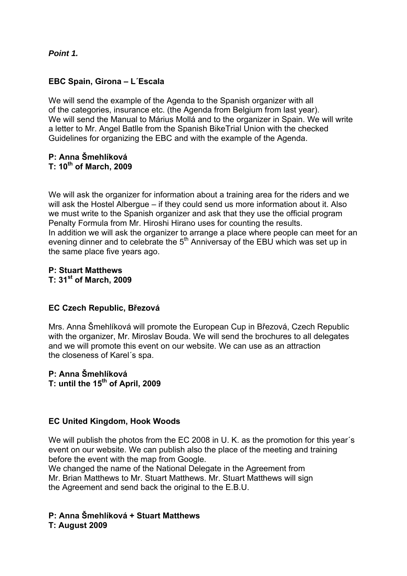*Point 1.*

# **EBC Spain, Girona – L´Escala**

We will send the example of the Agenda to the Spanish organizer with all of the categories, insurance etc. (the Agenda from Belgium from last year). We will send the Manual to Márius Mollá and to the organizer in Spain. We will write a letter to Mr. Angel Batlle from the Spanish BikeTrial Union with the checked Guidelines for organizing the EBC and with the example of the Agenda.

# **P: Anna Šmehlíková T: 10th of March, 2009**

We will ask the organizer for information about a training area for the riders and we will ask the Hostel Albergue – if they could send us more information about it. Also we must write to the Spanish organizer and ask that they use the official program Penalty Formula from Mr. Hiroshi Hirano uses for counting the results. In addition we will ask the organizer to arrange a place where people can meet for an evening dinner and to celebrate the 5<sup>th</sup> Anniversay of the EBU which was set up in the same place five years ago.

**P: Stuart Matthews T: 31st of March, 2009** 

# **EC Czech Republic, Březová**

Mrs. Anna Šmehlíková will promote the European Cup in Březová, Czech Republic with the organizer, Mr. Miroslav Bouda. We will send the brochures to all delegates and we will promote this event on our website. We can use as an attraction the closeness of Karel´s spa.

# **P: Anna Šmehlíková**  T: until the 15<sup>th</sup> of April, 2009

# **EC United Kingdom, Hook Woods**

We will publish the photos from the EC 2008 in U. K. as the promotion for this year's event on our website. We can publish also the place of the meeting and training before the event with the map from Google.

We changed the name of the National Delegate in the Agreement from Mr. Brian Matthews to Mr. Stuart Matthews. Mr. Stuart Matthews will sign the Agreement and send back the original to the E.B.U.

# **P: Anna Šmehlíková + Stuart Matthews**

**T: August 2009**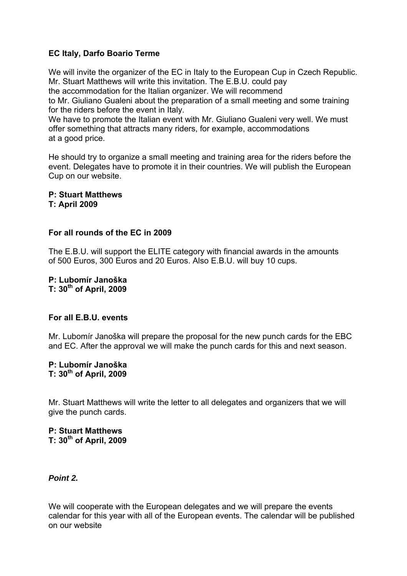# **EC Italy, Darfo Boario Terme**

We will invite the organizer of the EC in Italy to the European Cup in Czech Republic. Mr. Stuart Matthews will write this invitation. The E.B.U. could pay

the accommodation for the Italian organizer. We will recommend

to Mr. Giuliano Gualeni about the preparation of a small meeting and some training for the riders before the event in Italy.

We have to promote the Italian event with Mr. Giuliano Gualeni very well. We must offer something that attracts many riders, for example, accommodations at a good price.

He should try to organize a small meeting and training area for the riders before the event. Delegates have to promote it in their countries. We will publish the European Cup on our website.

**P: Stuart Matthews T: April 2009** 

# **For all rounds of the EC in 2009**

The E.B.U. will support the ELITE category with financial awards in the amounts of 500 Euros, 300 Euros and 20 Euros. Also E.B.U. will buy 10 cups.

**P: Lubomír Janoška T: 30th of April, 2009** 

#### **For all E.B.U. events**

Mr. Lubomír Janoška will prepare the proposal for the new punch cards for the EBC and EC. After the approval we will make the punch cards for this and next season.

#### **P: Lubomír Janoška T: 30th of April, 2009**

Mr. Stuart Matthews will write the letter to all delegates and organizers that we will give the punch cards.

**P: Stuart Matthews T: 30th of April, 2009** 

*Point 2.*

We will cooperate with the European delegates and we will prepare the events calendar for this year with all of the European events. The calendar will be published on our website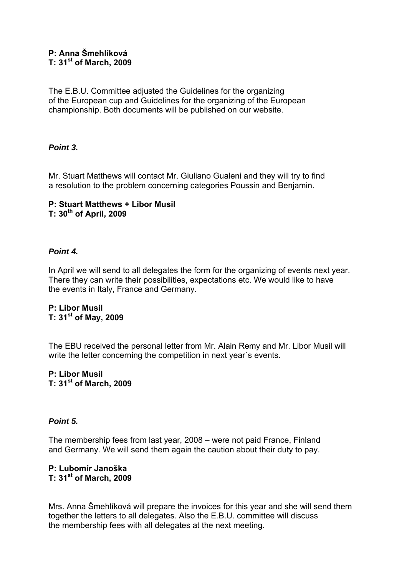# **P: Anna Šmehlíková T: 31st of March, 2009**

The E.B.U. Committee adjusted the Guidelines for the organizing of the European cup and Guidelines for the organizing of the European championship. Both documents will be published on our website.

# *Point 3.*

Mr. Stuart Matthews will contact Mr. Giuliano Gualeni and they will try to find a resolution to the problem concerning categories Poussin and Benjamin.

### **P: Stuart Matthews + Libor Musil T: 30th of April, 2009**

# *Point 4.*

In April we will send to all delegates the form for the organizing of events next year. There they can write their possibilities, expectations etc. We would like to have the events in Italy, France and Germany.

# **P: Libor Musil T: 31st of May, 2009**

The EBU received the personal letter from Mr. Alain Remy and Mr. Libor Musil will write the letter concerning the competition in next year´s events.

# **P: Libor Musil T: 31st of March, 2009**

# *Point 5.*

The membership fees from last year, 2008 – were not paid France, Finland and Germany. We will send them again the caution about their duty to pay.

# **P: Lubomír Janoška T: 31st of March, 2009**

Mrs. Anna Šmehlíková will prepare the invoices for this year and she will send them together the letters to all delegates. Also the E.B.U. committee will discuss the membership fees with all delegates at the next meeting.